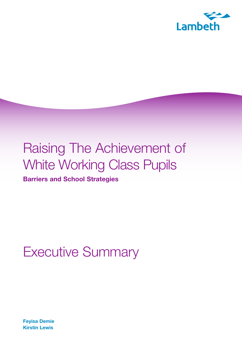

# Raising The Achievement of White Working Class Pupils

**Barriers and School Strategies** 

## Executive Summary

**Feyisa Demie Kirstin Lewis**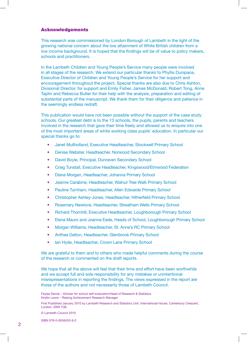#### Acknowledgements

This research was commissioned by London Borough of Lambeth in the light of the growing national concern about the low attainment of White British children from a low income background. It is hoped that the findings will be of value to policy makers, schools and practitioners.

In the Lambeth Children and Young People's Service many people were involved in all stages of the research. We extend our particular thanks to Phyllis Dunipace, Executive Director of Children and Young People's Service for her support and encouragement throughout the project. Special thanks are also due to Chris Ashton, Divisional Director, for support and Emily Fisher, James McDonald, Robert Tong, Anne Taplin and Rebecca Butler for their help with the analysis, preparation and editing of substantial parts of the manuscript. We thank them for their diligence and patience in the seemingly endless redraft.

This publication would have not been possible without the support of the case study schools. Our greatest debt is to the 13 schools, the pupils, parents and teachers involved in the research that gave their time freely and allowed us to enquire into one of the most important areas of white working class pupils' education. In particular our special thanks go to:

- Janet Mullholland, Executive Headteacher, Stockwell Primary School
- Denise Webster, Headteacher, Norwood Secondary School
- David Boyle, Principal, Dunraven Secondary School
- Craig Tunstall, Executive Headteacher, Kingswood/Elmwood Federation
- Diana Morgan, Headteacher, Johanna Primary School
- Jeanne Carabine, Headteacher, Walnut Tree Walk Primary School
- Pauline Turnham, Headteacher, Allen Edwards Primary School
- Christopher Ashley-Jones, Headteacher, Hitherfield Primary School
- Rosemary Newlove, Headteacher, Streatham Wells Primary School
- Richard Thornhill, Executive Headteacher, Loughborough Primary School
- Elena Mauro and Joanna Eade, Heads of School, Loughborough Primary School
- Morgan Williams, Headteacher, St. Anne's RC Primary School
- Anthea Dalton, Headteacher, Glenbrook Primary School
- Ian Hyde, Headteacher, Crown Lane Primary School

We are grateful to them and to others who made helpful comments during the course of the research or commented on the draft reports.

We hope that all the above will feel that their time and effort have been worthwhile and we accept full and sole responsibility for any mistakes or unintentional misrepresentations in reporting the findings. The views expressed in the report are those of the authors and not necessarily those of Lambeth Council.

© Lambeth Council 2010

ISBN 978-0-9556433-9-2

Feyisa Demie – Adviser for school self-evaluation/Head of Research & Statistics Kirstin Lewis – Raising Achievement Research Manager

First Published January 2010 by Lambeth Research and Statistics Unit, International House, Canterbury Crescent, London, SW9 7QE.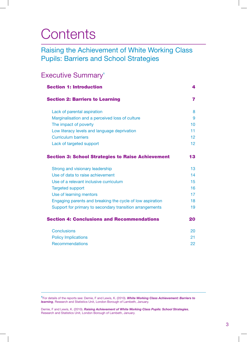## **Contents**

### Raising the Achievement of White Working Class Pupils: Barriers and School Strategies

### Executive Summary'

| <b>Section 1: Introduction</b>                            | 4  |
|-----------------------------------------------------------|----|
| <b>Section 2: Barriers to Learning</b>                    | 7  |
| Lack of parental aspiration                               | 8  |
| Marginalisation and a perceived loss of culture           | 9  |
| The impact of poverty                                     | 10 |
| Low literacy levels and language deprivation              | 11 |
| <b>Curriculum barriers</b>                                | 12 |
| Lack of targeted support                                  | 12 |
| <b>Section 3: School Strategies to Raise Achievement</b>  | 13 |
| Strong and visionary leadership                           | 13 |
| Use of data to raise achievement                          | 14 |
| Use of a relevant inclusive curriculum                    | 15 |
| <b>Targeted support</b>                                   | 16 |
| Use of learning mentors                                   | 17 |
| Engaging parents and breaking the cycle of low aspiration | 18 |
| Support for primary to secondary transition arrangements  | 19 |
| <b>Section 4: Conclusions and Recommendations</b>         | 20 |
| <b>Conclusions</b>                                        | 20 |
| <b>Policy Implications</b>                                | 21 |
| <b>Recommendations</b>                                    | 22 |

<sup>1</sup>For details of the reports see: Demie, F and Lewis, K. (2010). *White Working Class Achievement: Barriers to learning*, Research and Statistics Unit, London Borough of Lambeth, January.

Demie, F and Lewis, K. (2010). *Raising Achievement of White Working Class Pupils: School Strategies*, Research and Statistics Unit, London Borough of Lambeth, January.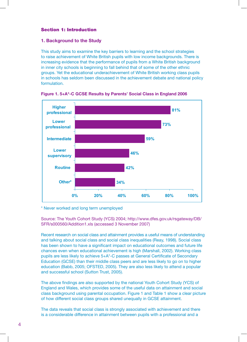#### Section 1: Introduction

#### **1. Background to the Study**

This study aims to examine the key barriers to learning and the school strategies to raise achievement of White British pupils with low income backgrounds. There is increasing evidence that the performance of pupils from a White British background in inner city schools is beginning to fall behind that of some of the other ethnic groups. Yet the educational underachievement of White British working class pupils in schools has seldom been discussed in the achievement debate and national policy formulation.



**Figure 1. 5+A\*-C GCSE Results by Parents' Social Class in England 2006** 

\* Never worked and long term unemployed \* Never worked and long term unemployed

Source: The Youth Cohort Study (YCS) 2004; http://www.dfes.gov.uk/rsgateway/DB/ SFR/s000560/Addition1.xls (accessed 3 November 2007)

Recent research on social class and attainment provides a useful means of understanding and talking about social class and social class inequalities (Reay, 1998). Social class has been shown to have a significant impact on educational outcomes and future life chances even when educational achievement is high (Marshall, 2002). Working class pupils are less likely to achieve 5+A\*-C passes at General Certificate of Secondary Education (GCSE) than their middle class peers and are less likely to go on to higher education (Babb, 2005; OFSTED, 2005). They are also less likely to attend a popular and successful school (Sutton Trust, 2005).

The above findings are also supported by the national Youth Cohort Study (YCS) of England and Wales, which provides some of the useful data on attainment and social class background using parental occupation. Figure 1 and Table 1 show a clear picture of how different social class groups shared unequally in GCSE attainment.

The data reveals that social class is strongly associated with achievement and there is a considerable difference in attainment between pupils with a professional and a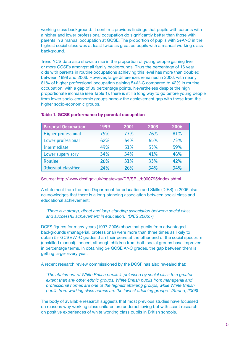working class background. It confirms previous findings that pupils with parents with a higher and lower professional occupation do significantly better than those with parents in a manual occupation at GCSE. The proportion of pupils with 5+A\*-C in the highest social class was at least twice as great as pupils with a manual working class background.

Trend YCS data also shows a rise in the proportion of young people gaining five or more GCSEs amongst all family backgrounds. Thus the percentage of 16 year olds with parents in routine occupations achieving this level has more than doubled between 1999 and 2006. However, large differences remained in 2006, with nearly 81% of higher professional occupation gaining 5+A\*-C compared to 42% in routine occupation, with a gap of 39 percentage points. Nevertheless despite the high proportionate increase (see Table 1), there is still a long way to go before young people from lower socio-economic groups narrow the achievement gap with those from the higher socio-economic groups.

| <b>Parental Occupation</b> | 1999 | 2001 | 2003 | 2006 |
|----------------------------|------|------|------|------|
| Higher professional        | 75%  | 77%  | 76%  | 81%  |
| Lower professional         | 62%  | 64%  | 65%  | 73%  |
| Intermediate               | 49%  | 51%  | 53%  | 59%  |
| Lower supervisory          | 34%  | 34%  | 41%  | 46%  |
| <b>Routine</b>             | 26%  | 31%  | 33%  | 42%  |
| Other/not classified       | 24%  | 26%  | 34%  | 34%  |

#### **Table 1. GCSE performance by parental occupation**

Source: http://www.dcsf.gov.uk/rsgateway/DB/SBU/b000795/index.shtml

A statement from the then Department for education and Skills (DfES) in 2006 also acknowledges that there is a long-standing association between social class and educational achievement:

*'There is a strong, direct and long-standing association between social class and successful achievement in education.' (DfES 2006:7).* 

DCFS figures for many years (1997-2006) show that pupils from advantaged backgrounds (managerial, professional) were more than three times as likely to obtain 5+ GCSE A\*-C grades than their peers at the other end of the social spectrum (unskilled manual). Indeed, although children from both social groups have improved, in percentage terms, in obtaining 5+ GCSE A\*-C grades, the gap between them is getting larger every year.

A recent research review commissioned by the DCSF has also revealed that;

*'The attainment of White British pupils is polarised by social class to a greater extent than any other ethnic groups. White British pupils from managerial and professional homes are one of the highest attaining groups, while White British pupils from working class homes are the lowest attaining groups.' (Strand, 2008)* 

The body of available research suggests that most previous studies have focussed on reasons why working class children are underachieving but with scant research on positive experiences of white working class pupils in British schools.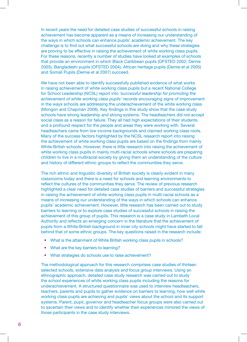In recent years the need for detailed case studies of successful schools in raising achievement has become apparent as a means of increasing our understanding of the ways in which schools can enhance pupils' academic achievement. The key challenge is to find out what successful schools are doing and why these strategies are proving to be effective in raising the achievement of white working class pupils. For these reasons, recently a number of studies have looked at examples of schools that provide an environment in which Black Caribbean pupils (OFSTED 2002; Demie 2005), Bangladeshi pupils (OFSTED 2004), African heritage pupils (Demie et al 2005) and Somali Pupils (Demie et al 2007) succeed.

We have not been able to identify successfully published evidence of what works in raising achievement of white working class pupils but a recent National College for School Leadership (NCSL) report into *'successful leadership for promoting the achievement of white working class pupils'* records encouraging signs of improvement in the ways schools are addressing the underachievement of the white working class (Mongon and Chapman 2008). Key findings in this study show that the case study schools have strong leadership and strong systems. The headteachers did not accept social class as a reason for failure. They all had high expectations of their students and a profound respect for the people and areas they were working with. Several headteachers came from low income backgrounds and claimed working class roots. Many of the success factors highlighted by the NCSL research report into raising the achievement of white working class pupils are based on the findings from mainly White British schools. However, there is little research into raising the achievement of white working class pupils in mainly multi-racial schools where schools are preparing children to live in a multiracial society by giving them an understanding of the culture and history of different ethnic groups to reflect the communities they serve.

The rich ethnic and linguistic diversity of British society is clearly evident in many classrooms today and there is a need for schools and learning environments to reflect the cultures of the communities they serve. The review of previous research highlighted a clear need for detailed case studies of barriers and successful strategies in raising the achievement of white working class pupils in multi-racial schools as a means of increasing our understanding of the ways in which schools can enhance pupils' academic achievement. However, little research has been carried out to study barriers to learning or to explore case studies of successful schools in raising the achievement of this group of pupils. This research is a case study in Lambeth Local Authority and reflects an emerging concern in the literature that the achievement of pupils from a White British background in inner city schools might have started to fall behind that of some ethnic groups. The key questions raised in the research include:

- What is the attainment of White British working class pupils in schools?
- $\bullet$ • What are the key barriers to learning?
- What strategies do schools use to raise achievement?

The methodological approach for this research comprises case studies of thirteen selected schools, extensive data analysis and focus group interviews. Using an ethnographic approach, detailed case study research was carried out to study the school experiences of white working class pupils including the reasons for underachievement. A structured questionnaire was used to interview headteachers, teachers, parents and pupils to gather evidence on barriers to learning, how well white working class pupils are achieving and pupils' views about the school and its support systems. Parent, pupil, governor and headteacher focus groups were also carried out to ascertain their views and to identify whether their experiences mirrored the views of those participants in the case study interviews.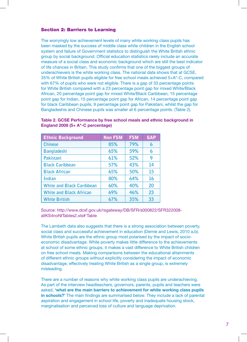#### Section 2: Barriers to Learning

The worryingly low achievement levels of many white working class pupils has been masked by the success of middle class white children in the English school system and failure of Government statistics to distinguish the White British ethnic group by social background. Official education statistics rarely include an accurate measure of a social class and economic background which are still the best indicator of life chances in Britain. This study confirms that one of the biggest groups of underachievers is the white working class. The national data shows that at GCSE, 35% of White British pupils eligible for free school meals achieved 5+A\*-C, compared with 67% of pupils who were not eligible. There is a gap of 33 percentage points for White British compared with a 23 percentage point gap for mixed White/Black African, 20 percentage point gap for mixed White/Black Caribbean, 15 percentage point gap for Indian, 15 percentage point gap for African, 14 percentage point gap for black Caribbean pupils, 9 percentage point gap for Pakistani, whilst the gap for Bangladeshis and Chinese pupils was smaller at 6 percentage points. (Table 2).

| <b>Ethnic Background</b>         | <b>Non FSM</b> | <b>FSM</b> | <b>GAP</b> |
|----------------------------------|----------------|------------|------------|
| <b>Chinese</b>                   | 85%            | 79%        | 6          |
| <b>Bangladeshi</b>               | 65%            | 59%        | 6          |
| Pakistani                        | 61%            | 52%        | 9          |
| <b>Black Caribbean</b>           | 57%            | 43%        | 14         |
| <b>Black African</b>             | 65%            | 50%        | 15         |
| <b>Indian</b>                    | 80%            | 64%        | 16         |
| <b>White and Black Caribbean</b> | 60%            | 40%        | 20         |
| <b>White and Black African</b>   | 69%            | 46%        | 23         |
| <b>White British</b>             | 67%            | 35%        | 33         |

#### **Table 2. GCSE Performance by free school meals and ethnic background in England 2008 (5+ A\*-C percentage)**

Source: http://www.dcsf.gov.uk/rsgateway/DB/SFR/s000822/SFR322008 allKS4noNITables2.xls#'Table

The Lambeth data also suggests that there is a strong association between poverty, social class and successful achievement in education (Demie and Lewis, 2010 a,b). White British pupils are the ethnic group most polarised by the impact of socioeconomic disadvantage. While poverty makes little difference to the achievements at school of some ethnic groups, it makes a vast difference to White British children on free school meals. Making comparisons between the educational attainments of different ethnic groups without explicitly considering the impact of economic disadvantage, effectively treating White British as a single group, is extremely misleading.

There are a number of reasons why white working class pupils are underachieving. As part of the interview headteachers, governors, parents, pupils and teachers were asked, **'what are the main barriers to achievement for white working class pupils in schools?'** The main findings are summarised below. They include a lack of parental aspiration and engagement in school life, poverty and inadequate housing stock, marginalisation and perceived loss of culture and language deprivation.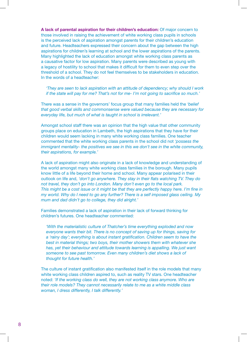**A lack of parental aspiration for their children's education:** Of major concern to those involved in raising the achievement of white working class pupils in schools is the perceived lack of aspiration amongst parents for their children's education and future. Headteachers expressed their concern about the gap between the high aspirations for children's learning at school and the lower aspirations of the parents. Many highlighted the lack of education amongst white working class parents as a causative factor for low aspiration. Many parents were described as young with a legacy of hostility to school that makes it difficult for them to even step over the threshold of a school. They do not feel themselves to be stakeholders in education. In the words of a headteacher:

*'They are seen to lack aspiration with an attitude of dependency; why should I work if the state will pay for me? That's not for me- I'm not going to sacrifice so much.'* 

There was a sense in the governors' focus group that many families held the *'belief that good verbal skills and commonsense were valued because they are necessary for everyday life, but much of what is taught in school is irrelevant.'* 

Amongst school staff there was an opinion that the high value that other community groups place on education in Lambeth, the high aspirations that they have for their children would seem lacking in many white working class families. One teacher commented that the white working class parents in the school did not *'possess the immigrant mentality- the positives we see in this we don't see in the white community, their aspirations, for example.'* 

A lack of aspiration might also originate in a lack of knowledge and understanding of the world amongst many white working class families in the borough. Many pupils know little of a life beyond their home and school. Many appear polarised in their outlook on life and, *'don't go anywhere. They stay in their flats watching TV. They do not travel, they don't go into London. Many don't even go to the local park. This might be a cost issue or it might be that they are perfectly happy here. I'm fine in my world. Why do I need to go any further? There is a self imposed glass ceiling. My mum and dad didn't go to college, they did alright.'* 

Families demonstrated a lack of aspiration in their lack of forward thinking for children's futures. One headteacher commented:

*'With the materialistic culture of Thatcher's time everything exploded and now everyone wants their bit. There is no concept of saving up for things, saving for a 'rainy day'; everything is about instant gratification. Children seem to have the best in material things; two boys, their mother showers them with whatever she*  has, yet their behaviour and attitude towards learning is appalling. We just want *someone to see past tomorrow. Even many children's diet shows a lack of thought for future health.'* 

The culture of instant gratification also manifested itself in the role models that many white working class children aspired to, such as reality TV stars. One headteacher noted: *'If the working class do well, they are not working class anymore. Who are their role models? They cannot necessarily relate to me as a white middle class woman, I dress differently, I talk differently.'*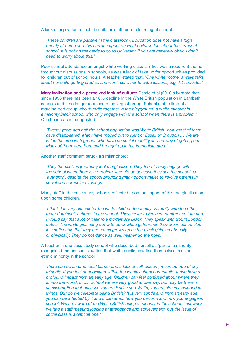A lack of aspiration reflects in children's attitude to learning at school:

*'These children are passive in the classroom. Education does not have a high priority at home and this has an impact on what children feel about their work at school. It is not on the cards to go to University. If you are generally ok you don't need to worry about this.'* 

Poor school attendance amongst white working class families was a recurrent theme throughout discussions in schools, as was a lack of take up for opportunities provided for children out of school hours. A teacher stated that, *'One white mother always talks about her child getting tired so she won't send her to extra lessons, e.g. 1:1, booster.'* 

**Marginalisation and a perceived lack of culture:** Demie et al (2010 a,b) state that since 1998 there has been a 10% decline in the White British population in Lambeth schools and it no longer represents the largest group. School staff talked of a marginalised group who *'huddle together in the playground, a white minority in a majority black school who only engage with the school when there is a problem.'*  One headteacher suggested:

*'Twenty years ago half the school population was White British- now most of them have disappeared. Many have moved out to Kent or Essex or Croydon.… We are*  left in the area with groups who have no social mobility and no way of getting out. *Many of them were born and brought up in the immediate area.'* 

Another staff comment struck a similar chord:

*'They themselves (mothers) feel marginalised; They tend to only engage with the school when there is a problem. It could be because they see the school as 'authority', despite the school providing many opportunities to involve parents in social and curricular evenings.'* 

Many staff in the case study schools reflected upon the impact of this marginalisation upon some children.

*'I think it is very difficult for the white children to identify culturally with the other, more dominant, cultures in the school. They aspire to Eminem or street culture and I would say that a lot of their role models are Black. They speak with South London patois. The white girls hang out with other white girls, when they are in dance club it is noticeable that they are not as grown up as the black girls, emotionally or physically. They do not dance as well, neither do the boys.'* 

A teacher in one case study school who described herself as 'part of a minority' recognised the unusual situation that white pupils now find themselves in as an ethnic minority in the school:

*'there can be an emotional barrier and a lack of self-esteem; it can be true of any minority. If you feel undervalued within the whole school community, it can have a profound impact from an early age. Children can feel confused about where they fit into the world. In our school we are very good at diversity, but may be there is an assumption that because you are British and White, you are already included in things. But do we celebrate being British? It is very subtle and from an early age you can be affected by it and it can affect how you perform and how you engage in school. We are aware of the White British being a minority in the school. Last week we had a staff meeting looking at attendance and achievement, but the issue of social class is a difficult one.'*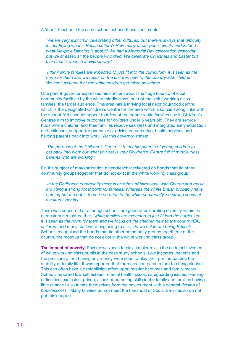A Year 4 teacher in the same school echoed these sentiments:

*'We are very explicit in celebrating other cultures, but there is always that difficulty*  in identifying what is British culture? How many of our pupils would understand *what Maypole Dancing is about? We had a Memorial Day celebration yesterday, but we stressed all the people who died. We celebrate Christmas and Easter but even that is done in a diverse way.'* 

*'I think white families are expected to just fit into the curriculum, it is seen as the norm for them and we focus on the children new to the country/EAL children. We can't assume that the white children get taken anywhere.'* 

One parent governor expressed his concern about the huge take up of local community facilities by the white middle class, but not the white working class families, the target audience. This area has a thriving local neighbourhood centre, which is the designated Children's Centre for the area which also has strong links with the school. Yet it would appear that few of the poorer white families use it. Children's Centres aim to improve outcomes for children under 5 years old. They are service hubs where children and their families receive seamless and integrated early education and childcare, support for parents e.g. advice on parenting, health services and helping parents back into work. Yet this governor states:

*'The purpose of the Children's Centre is to enable parents of young children to get back into work but what you get is your Children's' Centre full of middle class parents who are working.'* 

On the subject of marginalisation a headteacher reflected on bonds that tie other community groups together that do not exist in the white working class group:

*'In the Caribbean community there is an ethos of hard work, with Church and music providing a strong focal point for families. Whereas the White British probably have nothing but the pub…there is no pride in the white community, no strong sense of a cultural identity.'* 

There was concern that although schools are good at celebrating diversity within the curriculum it might be that, *'white families are expected to just fit into the curriculum, it is seen as the norm for them and we focus on the children new to the country/EAL children'* and many staff were beginning to ask, *'do we celebrate being British?'*  Schools recognised the bonds that tie other community groups together e.g. the church, the mosque that do not exist in the white working class group.

**The impact of poverty:** Poverty was seen to play a major role in the underachievement of white working class pupils in the case study schools. Low incomes, benefits and the pressure of not having any money were seen to play their part, impacting the stability of family life. It was reported that for recreation parents turn to cheap alcohol. This can often have a destabilising affect upon regular bedtimes and family meals. Schools reported low self esteem, mental health issues, safeguarding issues, learning difficulties, exclusion, prison, a lack of parenting skills in the family and families having little chance to extricate themselves from the environment with a general *'feeling of hopelessness.'* Many families do not meet the threshold of Social Services so do not get this support.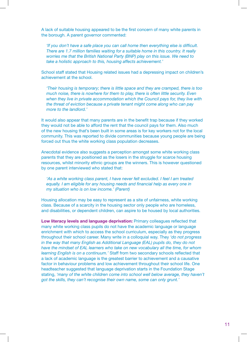A lack of suitable housing appeared to be the first concern of many white parents in the borough. A parent governor commented:

*'If you don't have a safe place you can call home then everything else is difficult. There are 1.7 million families waiting for a suitable home in this country. It really worries me that the British National Party (BNP) play on this issue. We need to take a holistic approach to this, housing affects achievement.'* 

School staff stated that Housing related issues had a depressing impact on children's achievement at the school.

*'Their housing is temporary; there is little space and they are cramped, there is too much noise, there is nowhere for them to play, there is often little security. Even when they live in private accommodation which the Council pays for, they live with the threat of eviction because a private tenant might come along who can pay more to the landlord.'* 

It would also appear that many parents are in the benefit trap because if they worked they would not be able to afford the rent that the council pays for them. Also much of the new housing that's been built in some areas is for key workers not for the local community. This was reported to divide communities because young people are being forced out thus the white working class population decreases.

Anecdotal evidence also suggests a perception amongst some white working class parents that they are positioned as the losers in the struggle for scarce housing resources, whilst minority ethnic groups are the winners. This is however questioned by one parent interviewed who stated that:

*'As a white working class parent, I have never felt excluded. I feel I am treated equally. I am eligible for any housing needs and financial help as every one in my situation who is on low income.' (Parent)* 

Housing allocation may be easy to represent as a site of unfairness, white working class. Because of a scarcity in the housing sector only people who are homeless, and disabilities, or dependent children, can aspire to be housed by local authorities.

**Low literacy levels and language deprivation:** Primary colleagues reflected that many white working class pupils do not have the academic language or language enrichment with which to access the school curriculum, especially as they progress throughout their school career. Many write in a colloquial way. They *'do not progress in the way that many English as Additional Language (EAL) pupils do, they do not have the mindset of EAL learners who take on new vocabulary all the time, for whom learning English is on a continuum.'* Staff from two secondary schools reflected that a lack of academic language is the greatest barrier to achievement and a causative factor in behaviour problems and low achievement throughout their school life. One headteacher suggested that language deprivation starts in the Foundation Stage stating, *'many of the white children come into school well below average, they haven't got the skills, they can't recognise their own name, some can only grunt.'*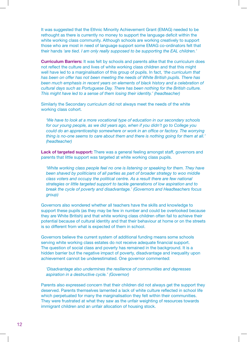It was suggested that the Ethnic Minority Achievement Grant (EMAG) needed to be rethought as there is currently no money to support the language deficit within the white working class community. Although schools are working creatively to support those who are most in need of language support some EMAG co-ordinators felt that their hands *'are tied. I am only really supposed to be supporting the EAL children.'* 

**Curriculum Barriers:** It was felt by schools and parents alike that the curriculum does not reflect the culture and lives of white working class children and that this might well have led to a marginalisation of this group of pupils. In fact, *'the curriculum that has been on offer has not been meeting the needs of White British pupils. There has*  been much emphasis in recent years on elements of black history and a celebration of *cultural days such as Portuguese Day. There has been nothing for the British culture. This might have led to a sense of them losing their identity.' (headteacher)* 

Similarly the Secondary curriculum did not always meet the needs of the white working class cohort.

*'We have to look at a more vocational type of education in our secondary schools for our young people, as we did years ago, when if you didn't go to College you could do an apprenticeship somewhere or work in an office or factory. The worrying thing is no-one seems to care about them and there is nothing going for them at all.' (headteacher)* 

**Lack of targeted support:** There was a general feeling amongst staff, governors and parents that little support was targeted at white working class pupils.

*'White working class people feel no one is listening or speaking for them. They have been shaved by politicians of all parties as part of broader strategy to woo middle class voters and occupy the political centre. As a result there are few national strategies or little targeted support to tackle generations of low aspiration and to break the cycle of poverty and disadvantage.' (Governors and Headteachers focus group)* 

Governors also wondered whether all teachers have the skills and knowledge to support these pupils (as they may be few in number and could be overlooked because they are White British) and that white working class children often fail to achieve their potential because of cultural identity and that their behaviour at home or on the streets is so different from what is expected of them in school.

Governors believe the current system of additional funding means some schools serving white working class estates do not receive adequate financial support. The question of social class and poverty has remained in the background. It is a hidden barrier but the negative impact of poverty, disadvantage and inequality upon achievement cannot be underestimated. One governor commented:

*'Disadvantage also undermines the resilience of communities and depresses aspiration in a destructive cycle.' (Governor)* 

Parents also expressed concern that their children did not always get the support they deserved. Parents themselves lamented a lack of white culture reflected in school life which perpetuated for many the marginalisation they felt within their communities. They were frustrated at what they saw as the unfair weighting of resources towards immigrant children and an unfair allocation of housing stock.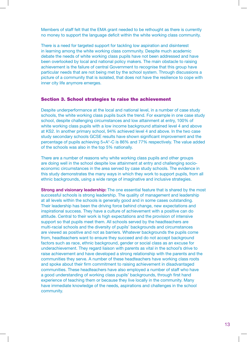Members of staff felt that the EMA grant needed to be rethought as there is currently no money to support the language deficit within the white working class community.

There is a need for targeted support for tackling low aspiration and disinterest in learning among the white working class community. Despite much academic debate the needs of white working class pupils have not been addressed and have been overlooked by local and national policy makers. The main obstacle to raising achievement is the failure of central Government to recognise that this group have particular needs that are not being met by the school system. Through discussions a picture of a community that is isolated, that does not have the resilience to cope with inner city life anymore emerges.

#### Section 3. School strategies to raise the achievement

Despite underperformance at the local and national level, in a number of case study schools, the white working class pupils buck the trend. For example in one case study school, despite challenging circumstances and low attainment at entry, 100% of white working class pupils with a low income background attained level 4 and above at KS2. In another primary school, 94% achieved level 4 and above. In the two case study secondary schools GCSE results have shown significant improvement and the percentage of pupils achieving 5+A\*-C is 86% and 77% respectively. The value added of the schools was also in the top 5% nationally.

There are a number of reasons why white working class pupils and other groups are doing well in the school despite low attainment at entry and challenging socioeconomic circumstances in the area served by case study schools. The evidence in this study demonstrates the many ways in which they work to support pupils, from all ethnic backgrounds, using a wide range of imaginative and inclusive strategies.

**Strong and visionary leadership:** The one essential feature that is shared by the most successful schools is strong leadership. The quality of management and leadership at all levels within the schools is generally good and in some cases outstanding. Their leadership has been the driving force behind change, new expectations and inspirational success. They have a culture of achievement with a positive can do attitude. Central to their work is high expectations and the provision of intensive support so that pupils meet them. All schools served by the headteachers are multi-racial schools and the diversity of pupils' backgrounds and circumstances are viewed as positive and not as barriers. Whatever backgrounds the pupils come from, headteachers want to ensure they succeed and do not accept background factors such as race, ethnic background, gender or social class as an excuse for underachievement. They regard liaison with parents as vital in the school's drive to raise achievement and have developed a strong relationship with the parents and the communities they serve. A number of these headteachers have working class roots and spoke about their firm commitment to raising achievement in disadvantaged communities. These headteachers have also employed a number of staff who have a good understanding of working class pupils' backgrounds, through first hand experience of teaching them or because they live locally in the community. Many have immediate knowledge of the needs, aspirations and challenges in the school community.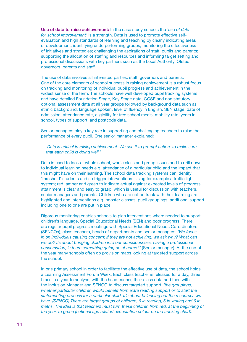**Use of data to raise achievement:** In the case study schools the *'use of data for school improvement'* is a strength. Data is used to promote effective selfevaluation and high standards of learning and teaching by clearly indicating areas of development; identifying underperforming groups; monitoring the effectiveness of initiatives and strategies; challenging the aspirations of staff, pupils and parents; supporting the allocation of staffing and resources and informing target setting and professional discussions with key partners such as the Local Authority, Ofsted, governors, parents and staff.

The use of data involves all interested parties: staff, governors and parents. One of the core elements of school success in raising achievement is a robust focus on tracking and monitoring of individual pupil progress and achievement in the widest sense of the term. The schools have well developed pupil tracking systems and have detailed Foundation Stage, Key Stage data, GCSE and non statutory optional assessment data at all year groups followed by background data such as ethnic background, language spoken, level of fluency in English, SEN stage, date of admission, attendance rate, eligibility for free school meals, mobility rate, years in school, types of support, and postcode data.

Senior managers play a key role in supporting and challenging teachers to raise the performance of every pupil. One senior manager explained:

*'Data is critical in raising achievement. We use it to prompt action, to make sure that each child is doing well.'* 

Data is used to look at whole school, whole class and group issues and to drill down to individual learning needs e.g. attendance of a particular child and the impact that this might have on their learning. The school data tracking systems can identify 'threshold' students and so trigger interventions. Using for example a traffic light system; red, amber and green to indicate actual against expected levels of progress, attainment is clear and easy to grasp, which is useful for discussion with teachers, senior managers and parents. Children who are not on track with their learning are highlighted and interventions e.g. booster classes, pupil groupings, additional support including one to one are put in place.

Rigorous monitoring enables schools to plan interventions where needed to support children's language, Special Educational Needs (SEN) and poor progress. There are regular pupil progress meetings with Special Educational Needs Co-ordinators (SENCOs), class teachers, heads of departments and senior managers, *'We focus*  in on individuals causing concern; if they are not achieving, we ask why? What can *we do? Its about bringing children into our consciousness, having a professional conversation, is there something going on at home?'* (Senior manager). At the end of the year many schools often do provision maps looking at targeted support across the school.

In one primary school in order to facilitate the effective use of data, the school holds a Learning Assessment Forum Week. Each class teacher is released for a day, three times in a year to analyse, with the headteacher, their class data and then with the Inclusion Manager and SENCO to discuss targeted support, *'the groupings, whether particular children would benefit from extra reading support or to start the statementing process for a particular child. It's about balancing out the resources we have. (SENCO) There are target groups of children, 6 in reading, 6 in writing and 6 in*  maths. The idea is that teachers must turn these children from red, at the beginning of *the year, to green (national age related expectation colour on the tracking chart).*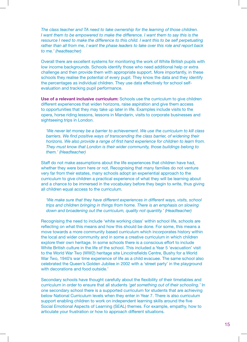*The class teacher and TA need to take ownership for the learning of those children. I* want them to be empowered to make the difference. I want them to say this is the *resource I need to make the difference to this child. I want this to be self perpetuating rather than all from me, I want the phase leaders to take over this role and report back to me.' (headteacher)* 

Overall there are excellent systems for monitoring the work of White British pupils with low income backgrounds. Schools identify those who need additional help or extra challenge and then provide them with appropriate support. More importantly, in these schools they realise the potential of every pupil. They know the data and they identify the percentages as individual children. They use data effectively for school selfevaluation and tracking pupil performance.

**Use of a relevant inclusive curriculum:** Schools use the curriculum to give children different experiences that widen horizons, raise aspiration and give them access to opportunities that they may take up later in life. Examples include visits to the opera, horse riding lessons, lessons in Mandarin, visits to corporate businesses and sightseeing trips in London.

*'We never let money be a barrier to achievement. We use the curriculum to kill class*  barriers. We find positive ways of transcending the class barrier, of widening their *horizons. We also provide a range of first hand experience for children to learn from. They must know that London is their wider community, those buildings belong to them.' (Headteacher)* 

Staff do not make assumptions about the life experiences that children have had, whether they were born here or not. Recognising that many families do not venture very far from their estates, many schools adopt an experiential approach to the curriculum to give children a practical experience of what they will be learning about and a chance to be immersed in the vocabulary before they begin to write, thus giving all children equal access to the curriculum.

*'We make sure that they have different experiences in different ways, visits, school trips and children bringing in things from home. There is an emphasis on slowing down and broadening out the curriculum, quality not quantity.' (Headteacher)* 

Recognising the need to include 'white working class' within school life, schools are reflecting on what this means and how this should be done. For some, this means a move towards a more community based curriculum which incorporates history within the local and wider community and in some a creative curriculum in which children explore their own heritage. In some schools there is a conscious effort to include White British culture in the life of the school. This included a Year 5 'evacuation' visit to the World War Two (WW2) heritage site Lincolnsfields Centre, Bushy for a World War Two, 1940's war time experience of life as a child evacuee. The same school also celebrated the Queen's Golden Jubilee in 2002 with a 'street party' in the playground with decorations and food outside.'

Secondary schools have thought carefully about the flexibility of their timetables and curriculum in order to ensure that all students *'get something out of their schooling.'* In one secondary school there is a supported curriculum for students that are achieving below National Curriculum levels when they enter in Year 7. There is also curriculum support enabling children to work on independent learning skills around the five Social Emotional Aspects of Learning (SEAL) themes. For example, empathy, how to articulate your frustration or how to approach different situations.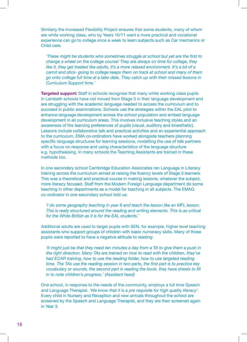Similarly the Increased Flexibility Project ensures that some students, many of whom are white working class, who by Years 10/11 want a more practical and vocational experience can go to college once a week to learn subjects such as Car mechanics or Child care.

*'These might be students who sometimes struggle at school but yet are the first to change a wheel on the college course! They are always on time for college, they* like it, they get treated like adults, it's a more relaxed environment. It's a bit of a *carrot and stick- going to college keeps them on track at school and many of them go onto college full time at a later date. They catch up with their missed lessons in Curriculum Support time.'* 

**Targeted support:** Staff in schools recognise that many white working class pupils in Lambeth schools have not moved from Stage 3 in their language development and are struggling with the academic language needed to access the curriculum and to succeed in public examinations. Schools use the strategies within the EAL pilot to enhance language development across the school population and embed language development in all curriculum areas. This involves inclusive teaching styles and an awareness of the learning preferences of pupils (visual, auditory and kinesthetic). Lessons include collaborative talk and practical activities and an experiential approach to the curriculum. EMA co-ordinators have worked alongside teachers planning specific language structures for learning sessions, modelling the use of talk partners with a focus on response and using characteristics of the language structure e.g. hypothesising. In many schools the Teaching Assistants are trained in these methods too.

In one secondary school Cambridge Education Associates ran Language in Literacy training across the curriculum aimed at raising the fluency levels of Stage 3 learners. This was a theoretical and practical course in making lessons, whatever the subject, more literacy focused. Staff from the Modern Foreign Language department do some teaching in other departments as a model for teaching in all subjects. The EMAG co-ordinator in one secondary school told us:

*'I do some geography teaching in year 8 and teach the lesson like an MFL lesson. This is really structured around the reading and writing elements. This is as critical for the White British as it is for the EAL students.'* 

Additional adults are used to target pupils with SEN, for example, higher level teaching assistants who support groups of children with basic numeracy skills. Many of these pupils were reported to have a negative attitude to reading:

*'It might just be that they need ten minutes a day from a TA to give them a push in the right direction. Many TAs are trained on how to read with the children, they've had ECAR training, how to use the reading folder, how to use targeted reading time. The TAs use the reading session in two parts, the first part is to practice key vocabulary or sounds, the second part is reading the book, they have sheets to fill in to note children's progress.' (Assistant head)* 

One school, in response to the needs of the community, employs a full time Speech and Language Therapist. *'We know that it is a pre requisite for high quality literacy'.*  Every child in Nursery and Reception and new arrivals throughout the school are screened by the Speech and Language Therapist, and they are then screened again in Year 3.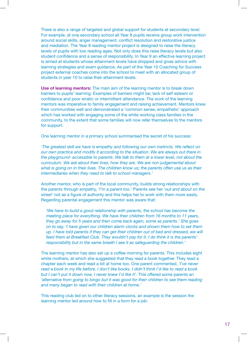There is also a range of targeted and global support for students at secondary level. For example, at one secondary school all Year 8 pupils receive group work intervention around social skills, anger management, conflict resolution and restorative justice and mediation. The Year 8 reading mentor project is designed to raise the literacy levels of pupils with low reading ages. Not only does this raise literacy levels but also student confidence and a sense of responsibility. In Year 9 an effective learning project is aimed at students whose attainment levels have dropped and gives advice with learning strategies and exam guidance. As part of the Year 10 Coaching for Success project external coaches come into the school to meet with an allocated group of students in year 10 to raise their attainment levels.

**Use of learning mentors:** The main aim of the learning mentor is to break down barriers to pupils' learning. Examples of barriers might be; lack of self esteem or confidence and poor erratic or intermittent attendance. The work of the learning mentors was imperative to family engagement and raising achievement. Mentors knew their communities well and demonstrated a 'common sense, empathetic' approach which has worked with engaging some of the white working class families in the community, to the extent that some families will now refer themselves to the mentors for support.

One learning mentor in a primary school summarised the secret of his success:

*'The greatest skill we have is empathy and following our own instincts. We reflect on our own practice and modify it according to the situation. We are always out there in the playground- accessible to parents. We talk to them at a lower level, not about the curriculum. We ask about their lives, how they are. We are non judgemental about what is going on in their lives. The children know us; the parents often use us as their intermediaries when they need to talk to school managers.'* 

Another mentor, who is part of the local community, builds strong relationships with the parents through empathy, *'I'm a parent too.'* Parents see her *'out and about on the street'* not as a figure of authority and this helps her to work with them more easily. Regarding parental engagement this mentor was aware that:

*'We have to build a good relationship with parents, the school has become the meeting place for everything. We have their children from 16 months to 11 years, they go away for 5 years and then come back again, some as parents.' She goes on to say, 'I have given our children alarm clocks and shown them how to set them up. I have told parents if they can get their children out of bed and dressed, we will feed them at Breakfast Club. They wouldn't pay for it. I do think it is the parents' responsibility but in the same breath I see it as safeguarding the children.'* 

The learning mentor has also set up a coffee morning for parents. This includes eight white mothers, at which she suggested that they read a book together. They read a chapter each week and read a bit at home too. One parent commented, *'I've never read a book in my life before. I don't like books. I didn't think I'd like to read a book*  but I can't put it down now, I never knew I'd like it'. This offered some parents an *'alternative from going to bingo but it was good for their children to see them reading and many began to read with their children at home.'* 

This reading club led on to other literacy sessions, an example is the session the learning mentor led around how to fill in a form for a job: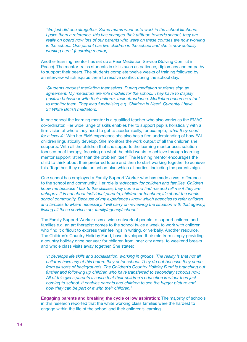*'We just did one altogether. Some mums went onto work in the school kitchens; I gave them a reference, this has changed their attitude towards school, they are* really on board now lots of our parents who were on these courses are now working *in the school. One parent has five children in the school and she is now actually working here.' (Learning mentor)* 

Another learning mentor has set up a Peer Mediation Service (Solving Conflict in Peace). The mentor trains students in skills such as patience, diplomacy and empathy to support their peers. The students complete twelve weeks of training followed by an interview which equips them to resolve conflict during the school day.

*'Students request mediation themselves. During mediation students sign an agreement. My mediators are role models for the school. They have to display positive behaviour with their uniform, their attendance. Mediation becomes a tool to monitor them. They lead fundraising e.g. Children in Need. Currently I have 34 White British mediators.'* 

In one school the learning mentor is a qualified teacher who also works as the EMAG co-ordinator. Her wide range of skills enables her to support pupils holistically with a firm vision of where they need to get to academically, for example, *'what they need for a level 4.'* With her EMA experience she also has a firm understanding of how EAL children linguistically develop. She monitors the work output of all the children she supports. With all the children that she supports the learning mentor uses solution focused brief therapy, focusing on what the child wants to achieve through learning mentor support rather than the problem itself. The learning mentor encourages the child to think about their preferred future and then to start working together to achieve this. Together, they make an action plan which all parties, including the parents sign.

One school has employed a Family Support Worker who has made a vast difference to the school and community. Her role is *'advocacy for children and families. Children know me because I talk to the classes, they come and find me and tell me if they are unhappy. It is not about individual parents, children or teachers; it's about the whole school community. Because of my experience I know which agencies to refer children and families to where necessary. I will carry on reviewing the situation with that agency, linking all these services up, family/agency/school.'* 

The Family Support Worker uses a wide network of people to support children and families e.g. an art therapist comes to the school twice a week to work with children who find it difficult to express their feelings in writing, or verbally. Another resource, The Children's Country Holiday Fund, have developed their role from simply providing a country holiday once per year for children from inner city areas, to weekend breaks and whole class visits away together. She states:

*'It develops life skills and socialisation, working in groups. The reality is that not all children have any of this before they enter school. They do not because they come from all sorts of backgrounds. The Children's Country Holiday Fund is branching out further and following up children who have transferred to secondary schools now. All of this gives parents a sense that their children's education is wider than just coming to school. It enables parents and children to see the bigger picture and how they can be part of it with their children.'* 

**Engaging parents and breaking the cycle of low aspiration:** The majority of schools in this research reported that the white working class families were the hardest to engage within the life of the school and their children's learning.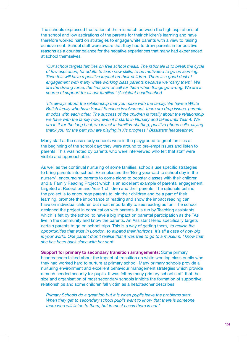reasons as a counter balance for the negative experiences that many had experienced at school themselves. The schools expressed frustration at the mismatch between the high aspirations of the school and low aspirations of the parents for their children's learning and have therefore worked hard on strategies to engage white parents with a view to raising achievement. School staff were aware that they had to draw parents in for positive

*'Our school targets families on free school meals. The rationale is to break the cycle of low aspiration, for adults to learn new skills, to be motivated to go on learning. Then this will have a positive impact on their children. There is a good deal of engagement with many white working class parents because we 'carry them'. We are the driving force, the first port of call for them when things go wrong. We are a source of support for all our families.' (Assistant headteacher)* 

*'It's always about the relationship that you make with the family. We have a White British family who have Social Services involvement, there are drug issues, parents at odds with each other. The success of the children is totally about the relationship we have with the family now; even if it starts in Nursery and takes until Year 4. We are in it for the long haul, we invest in families-chatting, positive phone calls, saying thank you for the part you are playing in X's progress.' (Assistant headteacher)* 

Many staff at the case study schools were in the playground to greet families at the beginning of the school day; they were around to pre-empt issues and listen to parents. This was noted by parents who were interviewed who felt that staff were visible and approachable.

 *she has been back since with her son!'* As well as the continual nurturing of some families, schools use specific strategies to bring parents into school. Examples are the 'Bring your dad to school day in the nursery', encouraging parents to come along to booster classes with their children and a Family Reading Project which is an excellent example of parental engagement, targeted at Reception and Year 1 children and their parents. The rationale behind the project is to encourage parents to join their children and be a part of their learning, promote the importance of reading and show the impact reading can have on individual children but most importantly to see reading as fun. The school designed the project in consultation with parents. It is run by Teaching assistants which is felt by the school to have a big impact on parental participation as the TAs live in the community and know the parents. An Assistant Head specifically targets certain parents to go on school trips. This is a way of getting them, *'to realise the opportunities that exist in London, to expand their horizons. It's all a case of how big*  is your world. One parent didn't realise that it was free to go to a museum. I know that

**Support for primary to secondary transition arrangements:** Some primary headteachers talked about the impact of transition on white working class pupils who they had worked hard to nurture at primary school. Many primary schools provide a nurturing environment and excellent behaviour management strategies which provide a much needed security for pupils. It was felt by many primary school staff that the size and organisation of most secondary schools inhibits the formation of supportive relationships and some children fall victim as a headteacher describes:

*Primary Schools do a great job but it is when pupils leave the problems start. When they get to secondary school pupils want to know that there is someone there who will listen to them, but in most cases there is not.'*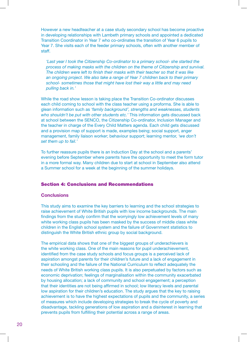However a new headteacher at a case study secondary school has become proactive in developing relationships with Lambeth primary schools and appointed a dedicated Transition Coordinator in Year 7 who co-ordinates the transition of Year 6 pupils to Year 7. She visits each of the feeder primary schools, often with another member of staff.

'Last year I took the Citizenship Co-ordinator to a primary school- she started the *process of making masks with the children on the theme of Citizenship and survival. The children were left to finish their masks with their teacher so that it was like an ongoing project. We also take a range of Year 7 children back to their primary school- sometimes those that might have lost their way a little and may need pulling back in.'* 

While the road show lesson is taking place the Transition Co-ordinator discusses each child coming to school with the class teacher using a proforma. She is able to glean information such as *'family background', strengths and weaknesses, students who shouldn't be put with other students etc.'* This information gets discussed back at school between the SENCO, the Citizenship Co-ordinator, Inclusion Manager and the teacher in charge of the Every Child Matters agenda. Each child gets discussed and a provision map of support is made, examples being; social support, anger management, family liaison worker; behaviour support; learning mentor, *'we don't set them up to fail.'* 

To further reassure pupils there is an Induction Day at the school and a parents' evening before September where parents have the opportunity to meet the form tutor in a more formal way. Many children due to start at school in September also attend a Summer school for a week at the beginning of the summer holidays.

#### Section 4: Conclusions and Recommendations

#### **Conclusions**

This study aims to examine the key barriers to learning and the school strategies to raise achievement of White British pupils with low income backgrounds. The main findings from the study confirm that the worryingly low achievement levels of many white working class pupils has been masked by the success of middle class white children in the English school system and the failure of Government statistics to distinguish the White British ethnic group by social background.

The empirical data shows that one of the biggest groups of underachievers is the white working class. One of the main reasons for pupil underachievement, identified from the case study schools and focus groups is a perceived lack of aspiration amongst parents for their children's future and a lack of engagement in their schooling and the failure of the National Curriculum to reflect adequately the needs of White British working class pupils. It is also perpetuated by factors such as economic deprivation; feelings of marginalisation within the community exacerbated by housing allocation; a lack of community and school engagement; a perception that their identities are not being affirmed in school; low literacy levels and parental low aspiration for their children's education. The study argues that the key to raising achievement is to have the highest expectations of pupils and the community, a series of measures which include developing strategies to break the cycle of poverty and disadvantage, tackling generations of low aspiration and a disinterest in learning that prevents pupils from fulfilling their potential across a range of areas.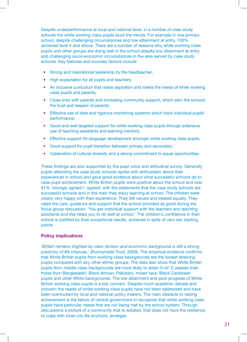Despite underperformance at local and national level, in a number of case study schools the white working class pupils buck the trends. For example in one primary school, despite challenging circumstances and low attainment at entry, 100% achieved level 4 and above. There are a number of reasons why white working class pupils and other groups are doing well in the school despite low attainment at entry and challenging socio-economic circumstances in the area served by case study schools. Key features and success factors include:

- Strong and inspirational leadership by the headteacher;
- High expectation for all pupils and teachers;
- An inclusive curriculum that raises aspiration and meets the needs of white working class pupils and parents;
- Close links with parents and increasing community support, which earn the schools the trust and respect of parents;
- Effective use of data and rigorous monitoring systems which track individual pupils' performance;
- Good and well targeted support for white working class pupils through extensive use of teaching assistants and learning mentors;
- Effective support for language development amongst white working class pupils;
- Good support for pupil transition between primary and secondary;
- Celebration of cultural diversity and a strong commitment to equal opportunities.

These findings are also supported by the pupil voice and attitudinal survey. Generally pupils attending the case study schools spoke with enthusiasm about their experiences in school and gave good evidence about what successful schools do to raise pupil achievement. White British pupils were positive about the school and over 91% 'strongly agreed'/ 'agreed' with the statements that the case study schools are successful schools and in the main they enjoy learning at school. The children were clearly very happy with their experience. They felt valued and treated equally. They rated the care, guidance and support that the school provided as good during the focus group discussion. *'You get individual support with the teachers and teaching assistants and this helps you to do well at school.'* The children's confidence in their school is justified by their exceptional results, achieved in spite of very low starting points.

#### **Policy implications**

*'Britain remains blighted by class division and economic background is still a strong predictor of life chances.'* (Runnymede Trust, 2009). The empirical evidence confirms that White British pupils from working class backgrounds are the lowest attaining pupils compared with any other ethnic groups. The data also show that White British pupils from middle class backgrounds are more likely to attain 5+A\*-C passes than those from Bangladeshi, Black African, Pakistani, mixed race, Black Caribbean pupils and other White backgrounds. The low attainment and poor progress of White British working class pupils is a key concern. Despite much academic debate and concern the needs of white working class pupils have not been addressed and have been overlooked by local and national policy makers. The main obstacle to raising achievement is the failure of central government to recognise that white working class pupils have particular needs that are not being met by the school system. Through discussions a picture of a community that is isolated, that does not have the resilience to cope with inner city life anymore, emerges.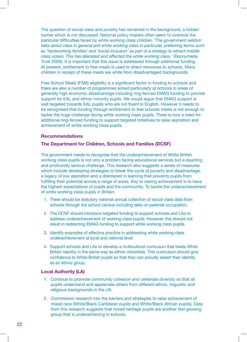The question of social class and poverty has remained in the background, a hidden barrier which is not discussed. National policy makers often seem to overlook the particular difficulties faced by white working class children. *'The government seldom talks about class in general and white working class in particular, preferring terms such as 'hardworking families' and 'social inclusion' as part of a strategy to attract middle class voters. This has alienated and affected the white working class.'* (Runnymede Trust 2009). It is important that this issue is addressed through additional funding. At present, entitlement to free meals is used to direct resources to schools. Many children in receipt of these meals are white from disadvantaged backgrounds.

Free School Meals (FSM) eligibility is a significant factor in funding to schools and there are also a number of programmes aimed particularly at schools in areas of generally high economic disadvantage including ring-fenced EMAG funding to provide support for EAL and ethnic minority pupils. We would argue that EMAG support is well targeted towards EAL pupils who are not fluent in English. However it needs to be recognised that funding through entitlement to free schools meals is not enough to tackle the huge challenge facing white working class pupils. There is now a need for additional ring-fenced funding to support targeted initiatives to raise aspiration and achievement of white working class pupils.

#### **Recommendations**

#### **The Department for Children, Schools and Families (DCSF)**

The government needs to recognise that the underachievement of White British working class pupils is not only a problem facing educational services but a daunting and profoundly serious challenge. This research also suggests a series of measures which include developing strategies to break the cycle of poverty and disadvantage, a legacy of low aspiration and a disinterest in learning that prevents pupils from fulfilling their potential across a range of areas. Key to raising achievement is to have the highest expectations of pupils and the community. To tackle the underachievement of white working class pupils in Britain:

- 1. There should be statutory national annual collection of social class data from schools through the school census including data on parental occupation.
- 2. The DCSF should introduce targeted funding to support schools and LAs to address underachievement of working class pupils. However, this should not result in redirecting EMAG funding to support white working class pupils.
- 3. Identify examples of effective practice in addressing white working class underachievement at local and national level.
- 4. Support schools and LAs to develop a multicultural curriculum that treats White British identity in the same way as ethnic minorities. This curriculum should give confidence to White British pupils so that they can proudly assert their identity as an ethnic group.

#### **Local Authority (LA)**

- 1. Continue to promote community cohesion and celebrate diversity so that all pupils understand and appreciate others from different ethnic, linguistic and religious backgrounds in the UK.
- 2. Commission research into the barriers and strategies to raise achievement of mixed race (White/Black Caribbean pupils and White/Black African pupils). Data from this research suggests that mixed heritage pupils are another fast growing group that is underachieving in schools.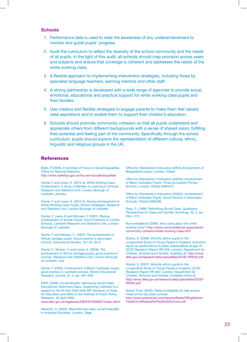#### **Schools**

- 1. Performance data is used to raise the awareness of any underachievement to monitor and guide pupils' progress.
- of all pupils. In the light of this audit, all schools should map provision across years and subjects and ensure that coverage is coherent and addresses the needs of the white working class. 2. Audit the curriculum to reflect the diversity of the school community and the needs
- 3. A flexible approach to implementing intervention strategies, including those by specialist language teachers, learning mentors and other staff.
- 4. A strong partnership is developed with a wide range of agencies to provide social, emotional, educational and practical support for white working class pupils and their families.
- 5. Use creative and flexible strategies to engage parents to make them feel valued, raise aspirations and to enable them to support their children's education.
- 6. Schools should promote community cohesion so that all pupils understand and appreciate others from different backgrounds with a sense of shared vision, fulfilling their potential and feeling part of the community. Specifically through the school curriculum, pupils should explore the representation of different cultural, ethnic, linguistic and religious groups in the UK.

#### **References**

Babb. P, (2005). *A Summary of Focus on Social Inequalities,*  Office for National Statistics, http://www.ststistics.gov.uk/focuson/socialinequalities

Demie, F and Lewis, K. (2010 a). *White Working Class Achievement: A Study of Barriers to Learning in Schools,*  Research and Statistics Unit, London Borough of Lambeth, January.

Demie, F and Lewis, K. (2010 b). *Raising Achievement of White Working Class Pupils: School Strategies,* Research and Statistics Unit, London Borough of Lambeth.

Demie, F, Lewis, K and McLean, C (2007). *Raising Achievement of Somali Pupils: Good Practices in London Schools,* Lambeth Research and Statistics Unit, London Borough of Lambeth.

Demie, F. and Mclean, C. (2007). *The achievement of African heritage pupils: Good practice in secondary schools,* Educational Studies, Vo1.33, No.4.

Demie, F.; Mclean, C and Lewis, K. (2006). *The achievement of African heritage pupils: good practice in schools,* Research and Statistics Unit, London Borough of Lambeth, July.

Demie, F (2005). Achievement of Black Caribbean pupils: good practice in Lambeth schools, British Educational Research Journal, 31, 4: pp. 481–508.

DfES, (2006). *Social Mobility: Narrowing Social Class Educational Attainment Gaps,* Supporting materials to a speech by the Rt Hon Ruth Kelly MP Secretary of State for Education and Skills to the Institute of Public Policy Research 26 April 2006

www.dfes.gov.uk/rsgateway/DB/STA?t000657/index.shtml

Marshall, G. (2002). *Repositioning class, social Inequality in Industrial Societies,* London, Sage.

Office for Standards in Education (2004) *Achievement of Bangladeshi pupils,* London: Ofsted

Office for Standards in Education (2002a). *Achievement of Black Caribbean Pupils: Three Successful Primary Schools,* London: Ofsted (HMI447)

Office for Standards in Education (2002b). *Achievement of Black Caribbean Pupils: Good Practice in Secondary Schools:* Ofsted (HMI448)

Reay, D. (1998). Rethinking Social Class: Qualitative Perspectives on Class and Gender, *Sociology,* 32, 2, pp. 259 – 275

Runnymedetrust (2009). *Who cares about the white working class?* http://www.runnymedetrust.org/projects/ community-cohesion/white-working-class.html

Strand, S. (2008). *Minority ethnic pupils in the Longitudinal Study of Young People in England: Extension report on performance in public examinations at age 16. DCSF Research Report RR-029.* London: Department for Children, Schools and Families. Available at: http://www. dfes.gov.uk/research/data/uploadfiles/DCSF-RR029.pdf.

Strand, S. (2007). *Minority ethnic pupils in the Longitudinal Study of Young People in England. DCSF Research Report RR-002.* London: Department for Children, Schools and Families. Available online at: http://www.dfes.gov.uk/research/data/uploadfiles/DCSF-RR002.pdf

Sutton Trust, (2005). Rates of eligibility for free school meals at the top state schools, http://www.suttontrust.com/reports/RatesOfEligibilityfor FreeSchoolMealsattheTopStateSchools.pdf